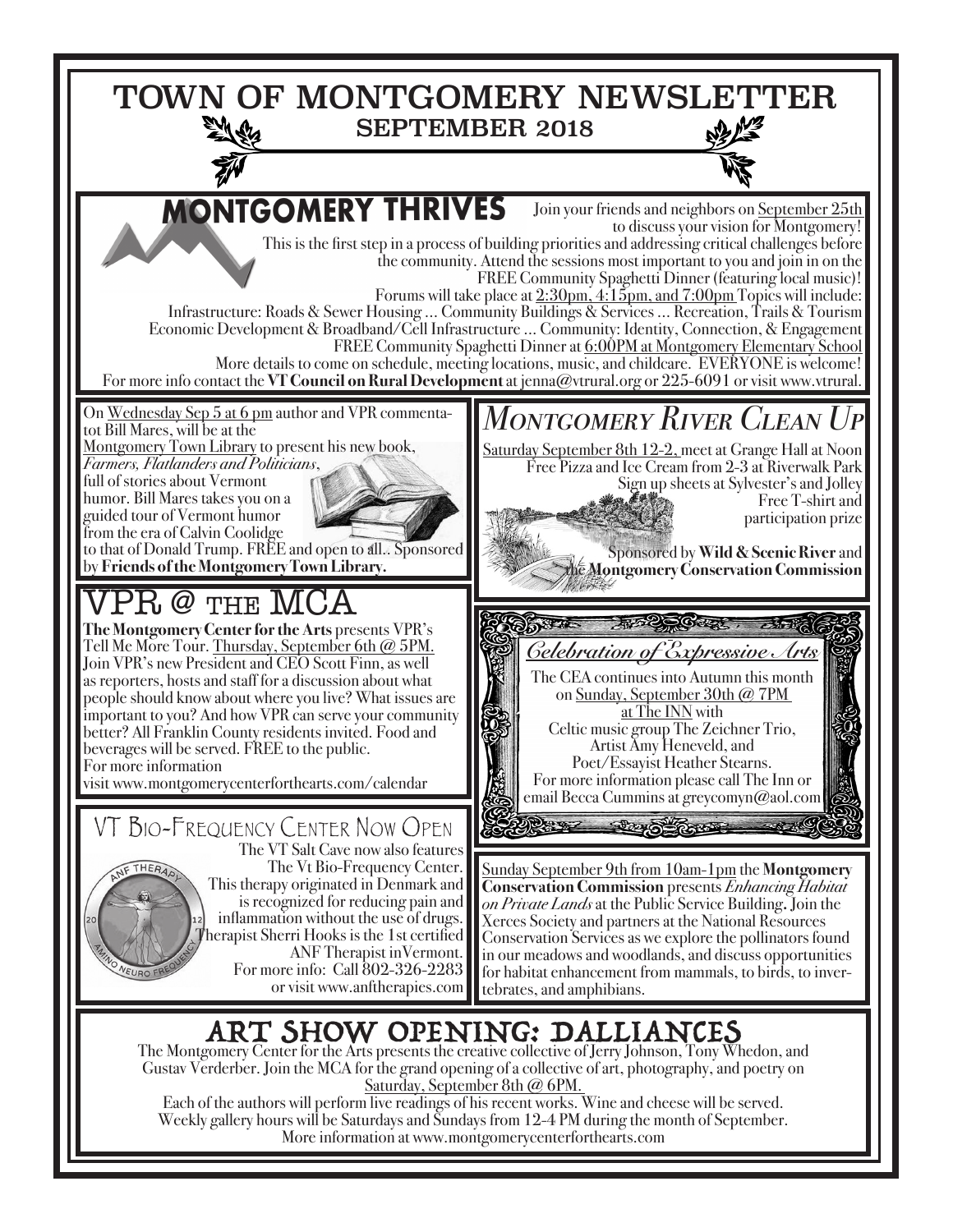